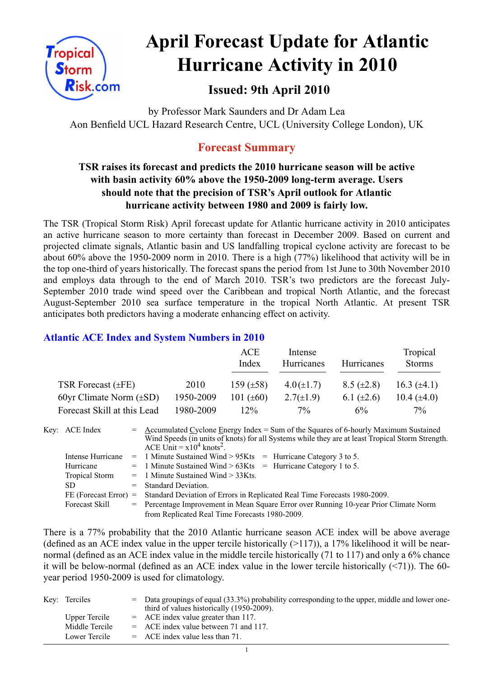

# **April Forecast Update for Atlantic Hurricane Activity in 2010**

# **Issued: 9th April 2010**

by Professor Mark Saunders and Dr Adam Lea Aon Benfield UCL Hazard Research Centre, UCL (University College London), UK

# **Forecast Summary**

## **TSR raises its forecast and predicts the 2010 hurricane season will be active with basin activity 60% above the 1950-2009 long-term average. Users should note that the precision of TSR's April outlook for Atlantic hurricane activity between 1980 and 2009 is fairly low.**

The TSR (Tropical Storm Risk) April forecast update for Atlantic hurricane activity in 2010 anticipates an active hurricane season to more certainty than forecast in December 2009. Based on current and projected climate signals, Atlantic basin and US landfalling tropical cyclone activity are forecast to be about 60% above the 1950-2009 norm in 2010. There is a high (77%) likelihood that activity will be in the top one-third of years historically. The forecast spans the period from 1st June to 30th November 2010 and employs data through to the end of March 2010. TSR's two predictors are the forecast July-September 2010 trade wind speed over the Caribbean and tropical North Atlantic, and the forecast August-September 2010 sea surface temperature in the tropical North Atlantic. At present TSR anticipates both predictors having a moderate enhancing effect on activity.

## **Atlantic ACE Index and System Numbers in 2010**

|                              |           | ACE<br>Index   | Intense<br>Hurricanes | Hurricanes      | Tropical<br><b>Storms</b> |
|------------------------------|-----------|----------------|-----------------------|-----------------|---------------------------|
| TSR Forecast $(\pm FE)$      | 2010      | 159 $(\pm 58)$ | $4.0(\pm 1.7)$        | $8.5 (\pm 2.8)$ | 16.3 $(\pm 4.1)$          |
| 60yr Climate Norm $(\pm SD)$ | 1950-2009 | 101 $(\pm 60)$ | $2.7(\pm 1.9)$        | 6.1 $(\pm 2.6)$ | 10.4 $(\pm 4.0)$          |
| Forecast Skill at this Lead  | 1980-2009 | $12\%$         | $7\%$                 | 6%              | $7\%$                     |

Key: ACE Index = Accumulated Cyclone Energy Index = Sum of the Squares of 6-hourly Maximum Sustained Wind Speeds (in units of knots) for all Systems while they are at least Tropical Storm Strength. ACE Unit =  $x10^4$  knots<sup>2</sup>. Intense Hurricane = 1 Minute Sustained Wind  $> 95K$ ts = Hurricane Category 3 to 5. Hurricane  $= 1$  Minute Sustained Wind  $> 63K$ ts  $=$  Hurricane Category 1 to 5. Tropical Storm  $= 1$  Minute Sustained Wind  $> 33K$ ts. SD = Standard Deviation. FE (Forecast Error) = Standard Deviation of Errors in Replicated Real Time Forecasts 1980-2009. Forecast Skill = Percentage Improvement in Mean Square Error over Running 10-year Prior Climate Norm from Replicated Real Time Forecasts 1980-2009.

There is a 77% probability that the 2010 Atlantic hurricane season ACE index will be above average (defined as an ACE index value in the upper tercile historically  $(>117)$ ), a 17% likelihood it will be nearnormal (defined as an ACE index value in the middle tercile historically (71 to 117) and only a 6% chance it will be below-normal (defined as an ACE index value in the lower tercile historically  $(\leq 71)$ ). The 60year period 1950-2009 is used for climatology.

| Key: Terciles  | = Data groupings of equal (33.3%) probability corresponding to the upper, middle and lower one-<br>third of values historically (1950-2009). |
|----------------|----------------------------------------------------------------------------------------------------------------------------------------------|
| Upper Tercile  | $=$ ACE index value greater than 117.                                                                                                        |
| Middle Tercile | $=$ ACE index value between 71 and 117.                                                                                                      |
| Lower Tercile  | $=$ ACE index value less than 71.                                                                                                            |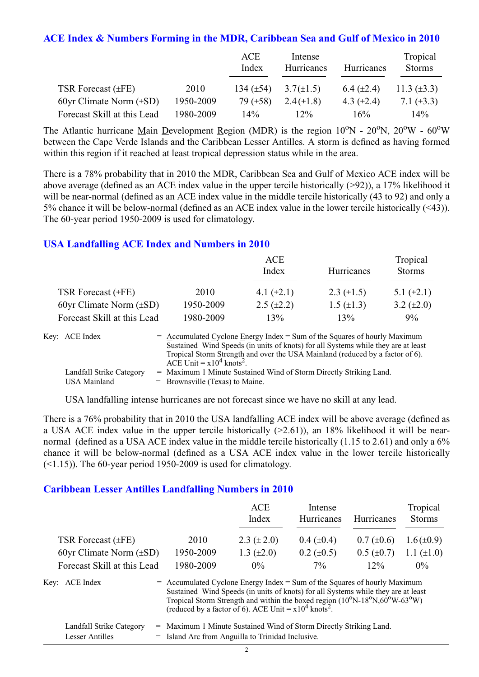#### **ACE Index & Numbers Forming in the MDR, Caribbean Sea and Gulf of Mexico in 2010**

|                              |           | ACE<br>Index   | Intense<br>Hurricanes | Hurricanes      | Tropical<br><b>Storms</b> |
|------------------------------|-----------|----------------|-----------------------|-----------------|---------------------------|
| TSR Forecast $(\pm FE)$      | 2010      | 134 $(\pm 54)$ | $3.7(\pm 1.5)$        | 6.4 $(\pm 2.4)$ | 11.3 $(\pm 3.3)$          |
| 60yr Climate Norm $(\pm SD)$ | 1950-2009 | 79 $(\pm 58)$  | $2.4(\pm 1.8)$        | 4.3 $(\pm 2.4)$ | 7.1 $(\pm 3.3)$           |
| Forecast Skill at this Lead  | 1980-2009 | $14\%$         | $12\%$                | 16%             | $14\%$                    |

The Atlantic hurricane Main Development Region (MDR) is the region  $10^{\circ}$ N -  $20^{\circ}$ N,  $20^{\circ}$ W -  $60^{\circ}$ W between the Cape Verde Islands and the Caribbean Lesser Antilles. A storm is defined as having formed within this region if it reached at least tropical depression status while in the area.

There is a 78% probability that in 2010 the MDR, Caribbean Sea and Gulf of Mexico ACE index will be above average (defined as an ACE index value in the upper tercile historically (>92)), a 17% likelihood it will be near-normal (defined as an ACE index value in the middle tercile historically (43 to 92) and only a 5% chance it will be below-normal (defined as an ACE index value in the lower tercile historically (<43)). The 60-year period 1950-2009 is used for climatology.

#### **USA Landfalling ACE Index and Numbers in 2010**

|                              |           | ACE<br>Index      | <b>Hurricanes</b> | Tropical<br><b>Storms</b> |
|------------------------------|-----------|-------------------|-------------------|---------------------------|
| TSR Forecast $(\pm FE)$      | 2010      | 4.1 $(\pm 2.1)$   | 2.3 $(\pm 1.5)$   | 5.1 $(\pm 2.1)$           |
| 60yr Climate Norm $(\pm SD)$ | 1950-2009 | $2.5 \ (\pm 2.2)$ | $1.5 (\pm 1.3)$   | 3.2 $(\pm 2.0)$           |
| Forecast Skill at this Lead  | 1980-2009 | 13%               | 13%               | 9%                        |

| Key: ACE Index           | $=$ Accumulated Cyclone Energy Index $=$ Sum of the Squares of hourly Maximum     |
|--------------------------|-----------------------------------------------------------------------------------|
|                          | Sustained Wind Speeds (in units of knots) for all Systems while they are at least |
|                          | Tropical Storm Strength and over the USA Mainland (reduced by a factor of 6).     |
|                          | ACE Unit = $x10^4$ knots <sup>2</sup> .                                           |
| Landfall Strike Category | = Maximum 1 Minute Sustained Wind of Storm Directly Striking Land.                |
| USA Mainland             | $=$ Brownsville (Texas) to Maine.                                                 |

USA landfalling intense hurricanes are not forecast since we have no skill at any lead.

There is a 76% probability that in 2010 the USA landfalling ACE index will be above average (defined as a USA ACE index value in the upper tercile historically (>2.61)), an 18% likelihood it will be nearnormal (defined as a USA ACE index value in the middle tercile historically (1.15 to 2.61) and only a 6% chance it will be below-normal (defined as a USA ACE index value in the lower tercile historically  $(\leq 1.15)$ ). The 60-year period 1950-2009 is used for climatology.

#### **Caribbean Lesser Antilles Landfalling Numbers in 2010**

|                              |                                                                                                                                                                  | ACE<br>Index                                                                                            | Intense<br>Hurricanes | Hurricanes      | Tropical<br><b>Storms</b> |
|------------------------------|------------------------------------------------------------------------------------------------------------------------------------------------------------------|---------------------------------------------------------------------------------------------------------|-----------------------|-----------------|---------------------------|
| TSR Forecast $(\pm FE)$      | 2010                                                                                                                                                             | 2.3 $(\pm 2.0)$                                                                                         | $0.4~(\pm 0.4)$       | $0.7 (\pm 0.6)$ | $1.6(\pm 0.9)$            |
| 60yr Climate Norm $(\pm SD)$ | 1950-2009                                                                                                                                                        | 1.3 $(\pm 2.0)$                                                                                         | $0.2 \ (\pm 0.5)$     | $0.5 (\pm 0.7)$ | 1.1 $(\pm 1.0)$           |
| Forecast Skill at this Lead  | 1980-2009                                                                                                                                                        | $0\%$                                                                                                   | $7\%$                 | $12\%$          | $0\%$                     |
| Key: ACE Index               | $=$ Accumulated Cyclone Energy Index = Sum of the Squares of hourly Maximum<br>Sustained Wind Speeds (in units of knots) for all Systems while they are at least | Tropical Storm Strength and within the boxed region $(10^{\circ}N-18^{\circ}N,60^{\circ}W-63^{\circ}W)$ |                       |                 |                           |

|                          | (reduced by a factor of 6). ACE Unit = $x10^4$ knots <sup>2</sup> .  |  |
|--------------------------|----------------------------------------------------------------------|--|
| Landfall Strike Category | $=$ Maximum 1 Minute Sustained Wind of Storm Directly Striking Land. |  |
| Lesser Antilles          | $=$ Island Arc from Anguilla to Trinidad Inclusive.                  |  |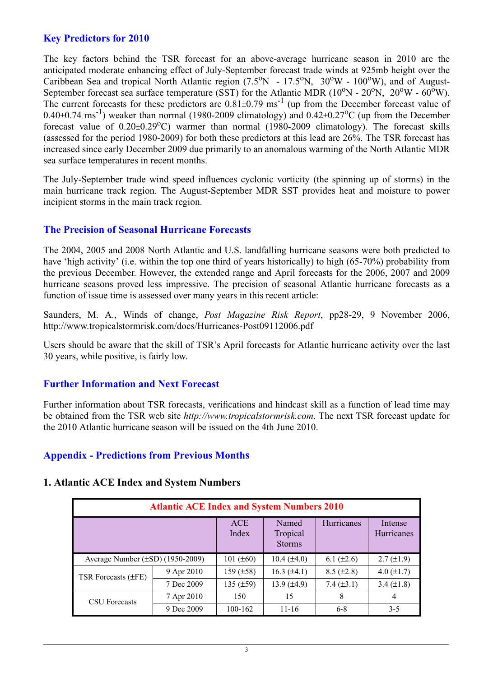## **Key Predictors for 2010**

The key factors behind the TSR forecast for an above-average hurricane season in 2010 are the anticipated moderate enhancing effect of July-September forecast trade winds at 925mb height over the Caribbean Sea and tropical North Atlantic region  $(7.5^{\circ}N - 17.5^{\circ}N, 30^{\circ}W - 100^{\circ}W)$ , and of August-September forecast sea surface temperature (SST) for the Atlantic MDR ( $10^{\circ}$ N -  $20^{\circ}$ N,  $20^{\circ}$ W -  $60^{\circ}$ W). The current forecasts for these predictors are  $0.81\pm0.79$  ms<sup>-1</sup> (up from the December forecast value of  $0.40\pm0.74$  ms<sup>-1</sup>) weaker than normal (1980-2009 climatology) and  $0.42\pm0.27$ <sup>o</sup>C (up from the December forecast value of  $0.20 \pm 0.29$ °C) warmer than normal (1980-2009 climatology). The forecast skills (assessed for the period 1980-2009) for both these predictors at this lead are 26%. The TSR forecast has increased since early December 2009 due primarily to an anomalous warming of the North Atlantic MDR sea surface temperatures in recent months.

The July-September trade wind speed influences cyclonic vorticity (the spinning up of storms) in the main hurricane track region. The August-September MDR SST provides heat and moisture to power incipient storms in the main track region.

#### **The Precision of Seasonal Hurricane Forecasts**

The 2004, 2005 and 2008 North Atlantic and U.S. landfalling hurricane seasons were both predicted to have 'high activity' (i.e. within the top one third of years historically) to high (65-70%) probability from the previous December. However, the extended range and April forecasts for the 2006, 2007 and 2009 hurricane seasons proved less impressive. The precision of seasonal Atlantic hurricane forecasts as a function of issue time is assessed over many years in this recent article:

Saunders, M. A., Winds of change, *Post Magazine Risk Report*, pp28-29, 9 November 2006, http://www.tropicalstormrisk.com/docs/Hurricanes-Post09112006.pdf

Users should be aware that the skill of TSR's April forecasts for Atlantic hurricane activity over the last 30 years, while positive, is fairly low.

## **Further Information and Next Forecast**

Further information about TSR forecasts, verifications and hindcast skill as a function of lead time may be obtained from the TSR web site *http://www.tropicalstormrisk.com*. The next TSR forecast update for the 2010 Atlantic hurricane season will be issued on the 4th June 2010.

## **Appendix - Predictions from Previous Months**

#### **1. Atlantic ACE Index and System Numbers**

| <b>Atlantic ACE Index and System Numbers 2010</b> |            |                     |                                    |                 |                       |  |  |
|---------------------------------------------------|------------|---------------------|------------------------------------|-----------------|-----------------------|--|--|
|                                                   |            | <b>ACE</b><br>Index | Named<br>Tropical<br><b>Storms</b> | Hurricanes      | Intense<br>Hurricanes |  |  |
| Average Number $(\pm SD)$ (1950-2009)             |            | 101 $(\pm 60)$      | $10.4 (\pm 4.0)$                   | 6.1 $(\pm 2.6)$ | $2.7 (\pm 1.9)$       |  |  |
| TSR Forecasts $(\pm FE)$                          | 9 Apr 2010 | 159 $(\pm 58)$      | 16.3 $(\pm 4.1)$                   | $8.5 (\pm 2.8)$ | 4.0 $(\pm 1.7)$       |  |  |
|                                                   | 7 Dec 2009 | 135 $(\pm 59)$      | 13.9 $(\pm 4.9)$                   | 7.4 $(\pm 3.1)$ | 3.4 $(\pm 1.8)$       |  |  |
| <b>CSU</b> Forecasts                              | 7 Apr 2010 | 150                 | 15                                 | 8               | 4                     |  |  |
|                                                   | 9 Dec 2009 | 100-162             | $11 - 16$                          | $6-8$           | $3-5$                 |  |  |